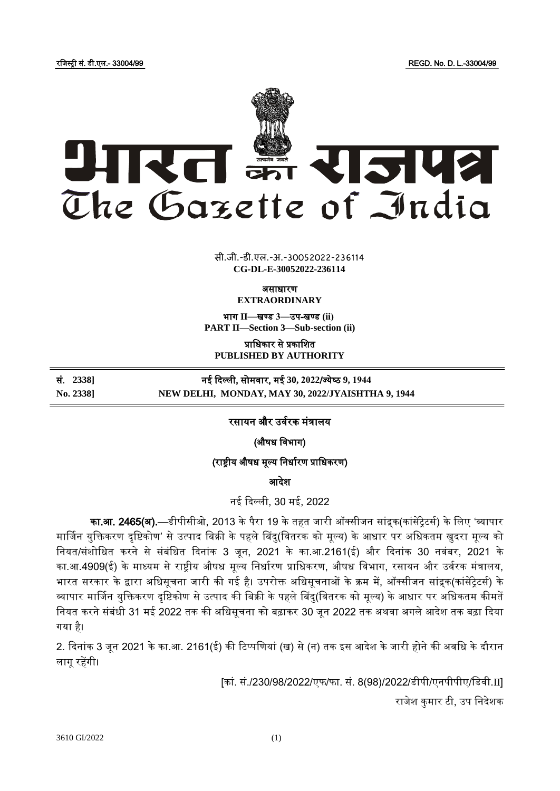रजिस्ट्री सं. डी.एल.- 33004/99 REGD. No. D. L.-33004/99



**x** सी.जी.-डी.एल.-अ.-30052022-23<mark>6</mark>114 **CG-DL-E-30052022-236114**

असाधारण

**EXTRAORDINARY**

भाग **II**—खण् ड **3**—उप-खण् ड **(ii) PART II—Section 3—Sub-section (ii)**

प्राजधकार से प्रकाजित **PUBLISHED BY AUTHORITY**

सं. **2338]** नई ददल्ली, सोमर्ार, मई **30, 2022**/ज् येष् ठ **9, 1944 No. 2338] NEW DELHI, MONDAY, MAY 30, 2022/JYAISHTHA 9, 1944**

रसायन और उर्वरक मंत्रालय

(औषध विभाग)

(राष्ट्रीय औषध मूल्य जनधावरण प्राजधकरण)

आदेश

नई ददल्ली, 30 मई, 2022

**का.आ. 2465(अ).**—डीपीसीओ, 2013 के पैरा 19 के तहत जारी ऑक्सीजन सांद्रक(कांसेंटेटर्स) के लिए 'व्यापार मार्जिन युक्तिकरण दृष्टिकोण' से उत्पाद बिक्री के पहले बिंदु(वितरक को मूल्य) के आधार पर अधिकतम खुदरा मूल्य को नियत/संशोधित करने से संबंधित दिनांक 3 जन, 2021 के का.आ.2161(ई) और दिनांक 30 नवंबर, 2021 के का.आ.4909(ई) के माध्यम से राष्ट्रीय औषध मूल्य निर्धारण प्राधिकरण, औषध विभाग, रसायन और उर्वरक मंत्रालय, भारत सरकार के द्वारा अधिसूचना जारी की गई है। उपरोक्त अधिसूचनाओं के क्रम में, ऑक्सीजन सांद्रक(कांसेंटेटर्स) के व्यापार मार्जिन युजिकरण दृजिकोण सेउत्पाद की जबक्री केपहलेबबदु(जर्तरक को मूल्य) केआधार पर अजधकतम कीमतें नियत करने संबंधी 31 मई 2022 तक की अधिसूचना को बढ़ाकर 30 जून 2022 तक अथवा अगले आदेश तक बढ़ा दिया गया है।

2. दिनांक 3 जून 2021 के का.आ. 2161(ई) की टिप्पणियां (ख) से (न) तक इस आदेश के जारी होने की अवधि के दौरान लागूरहेंगी।

[कां. सं./230/98/2022/एफ/फा. सं. 8(98)/2022/डीपी/एनपीपीए/जडर्ी.II]

राजेश कुमार टी, उप निदेशक